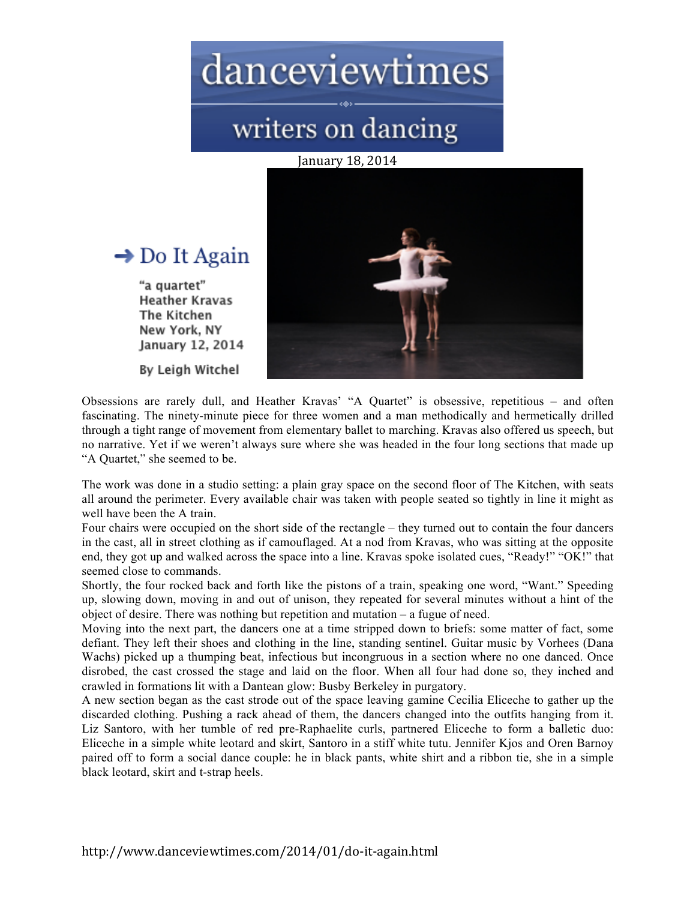## danceviewtimes

## writers on dancing

January 18, 2014



#### $\rightarrow$  Do It Again

"a quartet" **Heather Kravas** The Kitchen New York, NY January 12, 2014

By Leigh Witchel

Obsessions are rarely dull, and Heather Kravas' "A Quartet" is obsessive, repetitious – and often fascinating. The ninety-minute piece for three women and a man methodically and hermetically drilled through a tight range of movement from elementary ballet to marching. Kravas also offered us speech, but no narrative. Yet if we weren't always sure where she was headed in the four long sections that made up "A Quartet," she seemed to be.

The work was done in a studio setting: a plain gray space on the second floor of The Kitchen, with seats all around the perimeter. Every available chair was taken with people seated so tightly in line it might as well have been the A train.

Four chairs were occupied on the short side of the rectangle – they turned out to contain the four dancers in the cast, all in street clothing as if camouflaged. At a nod from Kravas, who was sitting at the opposite end, they got up and walked across the space into a line. Kravas spoke isolated cues, "Ready!" "OK!" that seemed close to commands.

Shortly, the four rocked back and forth like the pistons of a train, speaking one word, "Want." Speeding up, slowing down, moving in and out of unison, they repeated for several minutes without a hint of the object of desire. There was nothing but repetition and mutation – a fugue of need.

Moving into the next part, the dancers one at a time stripped down to briefs: some matter of fact, some defiant. They left their shoes and clothing in the line, standing sentinel. Guitar music by Vorhees (Dana Wachs) picked up a thumping beat, infectious but incongruous in a section where no one danced. Once disrobed, the cast crossed the stage and laid on the floor. When all four had done so, they inched and crawled in formations lit with a Dantean glow: Busby Berkeley in purgatory.

A new section began as the cast strode out of the space leaving gamine Cecilia Eliceche to gather up the discarded clothing. Pushing a rack ahead of them, the dancers changed into the outfits hanging from it. Liz Santoro, with her tumble of red pre-Raphaelite curls, partnered Eliceche to form a balletic duo: Eliceche in a simple white leotard and skirt, Santoro in a stiff white tutu. Jennifer Kjos and Oren Barnoy paired off to form a social dance couple: he in black pants, white shirt and a ribbon tie, she in a simple black leotard, skirt and t-strap heels.